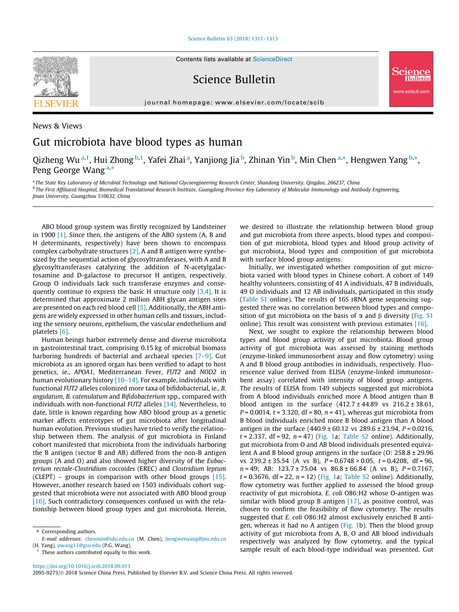#### [Science Bulletin 63 \(2018\) 1311–1313](https://doi.org/10.1016/j.scib.2018.09.013)



Science Bulletin

journal homepage: [www.elsevier.com/locate/scib](http://www.elsevier.com/locate/scib)



Qizheng Wu<sup>a,1</sup>, Hui Zhong <sup>b,1</sup>, Yafei Zhai <sup>a</sup>, Yanjiong Jia <sup>b</sup>, Zhinan Yin <sup>b</sup>, Min Chen <sup>a,\*</sup>, Hengwen Yang <sup>b,\*</sup>, Peng George Wang<sup>a,\*</sup>

a The State Key Laboratory of Microbial Technology and National Glycoengineering Research Center, Shandong University, Qingdao, 266237, China <sup>b</sup> The First Affiliated Hospital, Biomedical Translational Research Institute, Guangdong Province Key Laboratory of Molecular Immunology and Antibody Engineering, Jinan University, Guangzhou 510632, China

ABO blood group system was firstly recognized by Landsteiner in 1900 [\[1\]](#page-2-0). Since then, the antigens of the ABO system (A, B and H determinants, respectively) have been shown to encompass complex carbohydrate structures [\[2\].](#page-2-0) A and B antigen were synthesized by the sequential action of glycosyltransferases, with A and B glycosyltransferases catalyzing the addition of N-acetylgalactosamine and D-galactose to precursor H antigen, respectively. Group O individuals lack such transferase enzymes and consequently continue to express the basic H structure only  $[3,4]$ . It is determined that approximate 2 million ABH glycan antigen sites are presented on each red blood cell [\[5\]](#page-2-0). Additionally, the ABH antigens are widely expressed in other human cells and tissues, including the sensory neurons, epithelium, the vascular endothelium and platelets [\[6\]](#page-2-0).

Human beings harbor extremely dense and diverse microbiota in gastrointestinal tract, comprising 0.15 kg of microbial biomass harboring hundreds of bacterial and archaeal species [7-9]. Gut microbiota as an ignored organ has been verified to adapt to host genetics, ie., APOA1, Mediterranean Fever, FUT2 and NOD2 in human evolutionary history [\[10–14\].](#page-2-0) For example, individuals with functional FUT2 alleles colonized more taxa of bifidobacterial, ie., B. angulatum, B. catenulatum and Bifidobacterium spp., compared with individuals with non-functional FUT2 alleles [\[14\]](#page-2-0). Nevertheless, to date, little is known regarding how ABO blood group as a genetic marker affects enterotypes of gut microbiota after longitudinal human evolution. Previous studies have tried to verify the relationship between them. The analysis of gut microbiota in Finland cohort manifested that microbiota from the individuals harboring the B antigen (sector B and AB) differed from the non-B antigen groups (A and O) and also showed higher diversity of the Eubacterium rectale-Clostridium coccoides (EREC) and Clostridium leptum (CLEPT) – groups in comparison with other blood groups [\[15\].](#page-2-0) However, another research based on 1503 individuals cohort suggested that microbiota were not associated with ABO blood group [\[16\].](#page-2-0) Such contradictory consequences confused us with the relationship between blood group types and gut microbiota. Herein,

 $1$  These authors contributed equally to this work.

we desired to illustrate the relationship between blood group and gut microbiota from three aspects, blood types and composition of gut microbiota, blood types and blood group activity of gut microbiota, blood types and composition of gut microbiota with surface blood group antigens.

w.scibull.com

Initially, we investigated whether composition of gut microbiota varied with blood types in Chinese cohort. A cohort of 149 healthy volunteers, consisting of 41 A individuals, 47 B individuals, 49 O individuals and 12 AB individuals, participated in this study (Table S1 online). The results of 16S rRNA gene sequencing suggested there was no correlation between blood types and composition of gut microbiota on the basis of  $\alpha$  and  $\beta$  diversity (Fig. S1) online). This result was consistent with previous estimates [\[16\].](#page-2-0)

Next, we sought to explore the relationship between blood types and blood group activity of gut microbiota. Blood group activity of gut microbiota was assessed by staining methods (enzyme-linked immunosorbent assay and flow cytometry) using A and B blood group antibodies in individuals, respectively. Fluorescence value derived from ELISA (enzyme-linked immunosorbent assay) correlated with intensity of blood group antigens. The results of ELISA from 149 subjects suggested gut microbiota from A blood individuals enriched more A blood antigen than B blood antigen in the surface  $(412.7 \pm 44.89 \text{ vs } 216.2 \pm 38.61,$  $P = 0.0014$ ,  $t = 3.320$ , df = 80,  $n = 41$ ), whereas gut microbiota from B blood individuals enriched more B blood antigen than A blood antigen in the surface  $(440.9 \pm 60.12 \text{ vs } 289.6 \pm 23.94, P = 0.0216,$  $t = 2.337$ , df = 92,  $n = 47$ ) [\(Fig. 1a](#page-1-0); Table S2 online). Additionally, gut microbiota from O and AB blood individuals presented equivalent A and B blood group antigens in the surface (O: 258.8 ± 29.96 vs  $239.2 \pm 35.54$  (A vs B),  $P = 0.6748 > 0.05$ ,  $t = 0.4208$ , df = 96,  $n = 49$ ; AB:  $123.7 \pm 75.04$  vs  $86.8 \pm 66.84$  (A vs B),  $P = 0.7167$ ,  $t = 0.3676$ , df = 22,  $n = 12$ ) [\(Fig. 1a](#page-1-0); Table S2 online). Additionally, flow cytometry was further applied to assessed the blood group reactivity of gut microbiota. E. coli O86:H2 whose O-antigen was similar with blood group B antigen  $[17]$ , as positive control, was chosen to confirm the feasibility of flow cytometry. The results suggested that E. coli O86:H2 almost exclusively enriched B antigen, whereas it had no A antigen ([Fig. 1](#page-1-0)b). Then the blood group activity of gut microbiota from A, B, O and AB blood individuals respectively was analyzed by flow cytometry, and the typical sample result of each blood-type individual was presented. Gut

<sup>⇑</sup> Corresponding authors. E-mail addresses: [chenmin@sdu.edu.cn](mailto:chenmin@sdu.edu.cn) (M. Chen), [hengwenyang@jnu.edu.cn](mailto:hengwenyang@jnu.edu.cn) (H. Yang), [pwang11@gsu.edu](mailto:pwang11@gsu.edu) (P.G. Wang).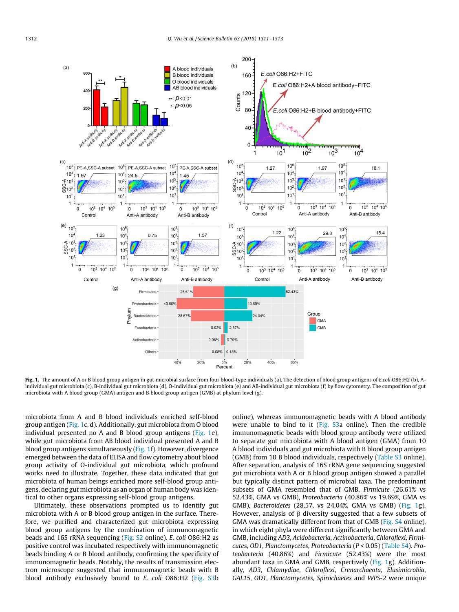<span id="page-1-0"></span>

Fig. 1. The amount of A or B blood group antigen in gut microbial surface from four blood-type individuals (a). The detection of blood group antigens of E.coli O86:H2 (b), Aindividual gut microbiota (c), B-individual gut microbiota (d), O-individual gut microbiota (e) and AB-individual gut microbiota (f) by flow cytometry. The composition of gut microbiota with A blood group (GMA) antigen and B blood group antigen (GMB) at phylum level (g).

microbiota from A and B blood individuals enriched self-blood group antigen (Fig. 1c, d). Additionally, gut microbiota from O blood individual presented no A and B blood group antigens (Fig. 1e), while gut microbiota from AB blood individual presented A and B blood group antigens simultaneously (Fig. 1f). However, divergence emerged between the data of ELISA and flow cytometry about blood group activity of O-individual gut microbiota, which profound works need to illustrate. Together, these data indicated that gut microbiota of human beings enriched more self-blood group antigens, declaring gut microbiota as an organ of human body was identical to other organs expressing self-blood group antigens.

Ultimately, these observations prompted us to identify gut microbiota with A or B blood group antigen in the surface. Therefore, we purified and characterized gut microbiota expressing blood group antigens by the combination of immunomagnetic beads and 16S rRNA sequencing (Fig. S2 online). E. coli O86:H2 as positive control was incubated respectively with immunomagnetic beads binding A or B blood antibody, confirming the specificity of immunomagnetic beads. Notably, the results of transmission electron microscope suggested that immunomagnetic beads with B blood antibody exclusively bound to E. coli O86:H2 (Fig. S3b

online), whereas immunomagnetic beads with A blood antibody were unable to bind to it (Fig. S3a online). Then the credible immunomagnetic beads with blood group antibody were utilized to separate gut microbiota with A blood antigen (GMA) from 10 A blood individuals and gut microbiota with B blood group antigen (GMB) from 10 B blood individuals, respectively (Table S3 online). After separation, analysis of 16S rRNA gene sequencing suggested gut microbiota with A or B blood group antigen showed a parallel but typically distinct pattern of microbial taxa. The predominant subsets of GMA resembled that of GMB, Firmicute (26.61% vs 52.43%, GMA vs GMB), Proteobacteria (40.86% vs 19.69%, GMA vs GMB), Bacteroidetes (28.57, vs 24.04%, GMA vs GMB) (Fig. 1g). However, analysis of  $\beta$  diversity suggested that a few subsets of GMA was dramatically different from that of GMB (Fig. S4 online), in which eight phyla were different significantly between GMA and GMB, including AD3, Acidobacteria, Actinobacteria, Chloroflexi, Firmicutes, OD1, Planctomycetes, Proteobacteria (P < 0.05) (Table S4). Proteobacteria (40.86%) and Firmicute (52.43%) were the most abundant taxa in GMA and GMB, respectively (Fig. 1g). Additionally, AD3, Chlamydiae, Chloroflexi, Crenarchaeota, Elusimicrobia, GAL15, OD1, Planctomycetes, Spirochaetes and WPS-2 were unique